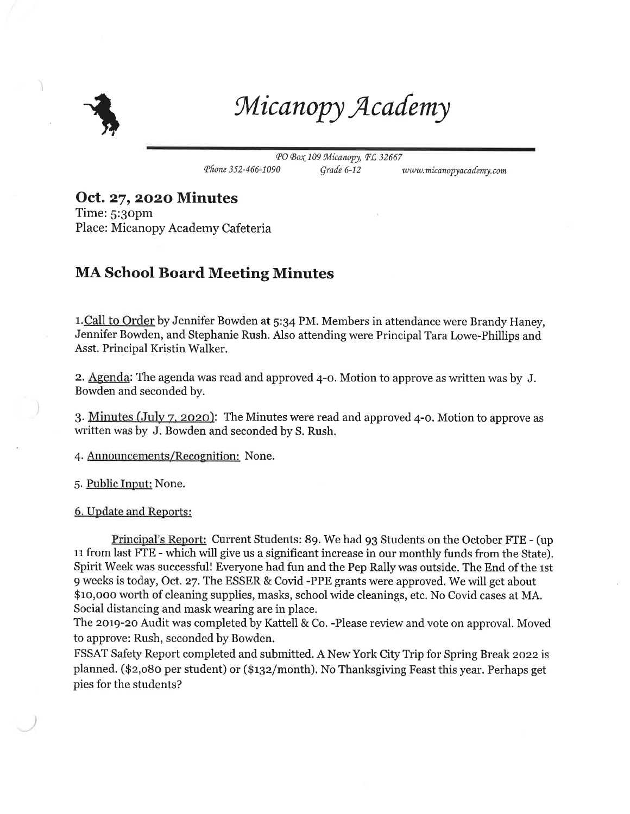

Micanopy Academy

PO Box 109 Micanopy, FL 32667 Phone 352-466-1090 Grade 6-12 www.micanopyacademy.com

Oct. 27, 2020 Minutes

Time: S:gopm Place: Micanopy Academy Cafeteria

## MA School Board Meeting Minutes

1. Call to Order by Jennifer Bowden at 5:34 PM. Members in attendance were Brandy Haney, Jennifer Bowden, and Stephanie Rush. Also attending were Principal Tara Lowe-Phillips and Asst. Principal Kristin Walker.

z. Agenda: The agenda was read and approved 4-o. Motion to approve as written was by J. Bowden and seconded by.

3. Minutes (July 7, 2020): The Minutes were read and approved 4-0. Motion to approve as written was by J. Bowden and seconded by S. Rush.

4. Announcements/Recognition: None.

5. Public Inout: None.

6. Update and Reoorts:

Principal's Report: Current Students: 89. We had gg Students on the October FTE - (up 11 from last FTE - which will give us a significant increase in our monthly funds from the State). Spirit Week was successful! Everyone had fun and the Pep Rally was outside. The End of the 1st 9 weeks is today, Oct.27. The ESSER & Covid -PPE grants were approved. We will get about \$ro,ooo worth of cleaning supplies, masks, school wide cleanings, etc. No Covid cases at MA. Social distancing and mask wearing are in place.

The 2019-20 Audit was completed by Kattell & Co. -Please review and vote on approval. Moved to approve: Rush, seconded by Bowden.

FSSAT Safety Report completed and submitted. A New York City Trip for Spring Break 2022 is planned. (\$z,o8o per student) or (\$qz/month). No Thanksgiving Feast this year. Perhaps get pies for the students?